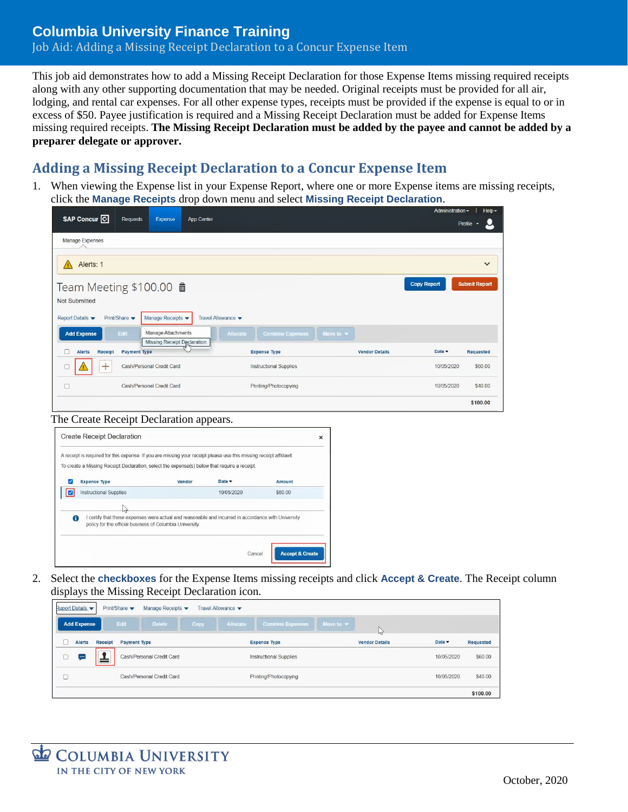## **Columbia University Finance Training** Job Aid: Adding a Missing Receipt Declaration to a Concur Expense Item

This job aid demonstrates how to add a Missing Receipt Declaration for those Expense Items missing required receipts along with any other supporting documentation that may be needed. Original receipts must be provided for all air, lodging, and rental car expenses. For all other expense types, receipts must be provided if the expense is equal to or in excess of \$50. Payee justification is required and a Missing Receipt Declaration must be added for Expense Items missing required receipts. **The Missing Receipt Declaration must be added by the payee and cannot be added by a preparer delegate or approver.**

## **Adding a Missing Receipt Declaration to a Concur Expense Item**

1. When viewing the Expense list in your Expense Report, where one or more Expense items are missing receipts, click the **Manage Receipts** drop down menu and select **Missing Receipt Declaration**.

| SAP Concur <sup>C</sup>                                                                        | <b>Requests</b>           | App Center<br>Expense                                    |          |                               |                              |                       | Administration - | $Heip-$<br>Profile $\sim$ |  |  |  |
|------------------------------------------------------------------------------------------------|---------------------------|----------------------------------------------------------|----------|-------------------------------|------------------------------|-----------------------|------------------|---------------------------|--|--|--|
| Manage Expenses                                                                                |                           |                                                          |          |                               |                              |                       |                  |                           |  |  |  |
| Alerts: 1<br>$\checkmark$                                                                      |                           |                                                          |          |                               |                              |                       |                  |                           |  |  |  |
| <b>Submit Report</b><br><b>Copy Report</b><br>Team Meeting \$100.00 mm<br><b>Not Submitted</b> |                           |                                                          |          |                               |                              |                       |                  |                           |  |  |  |
| Manage Receipts<br>Print/Share<br>Travel Allowance v<br>Report Details                         |                           |                                                          |          |                               |                              |                       |                  |                           |  |  |  |
| <b>Add Expense</b>                                                                             | Edit                      | Manage Attachments<br><b>Missing Receipt Declaration</b> | Allocate | <b>Combine Expenses</b>       | Move to $\blacktriangledown$ |                       |                  |                           |  |  |  |
| <b>Receipt</b><br><b>Alerts</b>                                                                | <b>Payment Type</b>       |                                                          |          | <b>Expense Type</b>           |                              | <b>Vendor Details</b> | Date -           | <b>Requested</b>          |  |  |  |
| $\pm$                                                                                          | Cash/Personal Credit Card |                                                          |          | <b>Instructional Supplies</b> | 10/05/2020                   | \$60,00               |                  |                           |  |  |  |
| г                                                                                              | Cash/Personal Credit Card |                                                          |          | Printing/Photocopying         |                              |                       | 10/05/2020       | \$40.00                   |  |  |  |
|                                                                                                |                           |                                                          |          |                               |                              |                       |                  | \$100.00                  |  |  |  |

#### The Create Receipt Declaration appears.



2. Select the **checkboxes** for the Expense Items missing receipts and click **Accept & Create**. The Receipt column displays the Missing Receipt Declaration icon.

| Report Details     |         | Print/Share               | Manage Receipts $\blacktriangleright$ |             | Travel Allowance $\blacktriangledown$ |                         |                              |                       |                           |           |
|--------------------|---------|---------------------------|---------------------------------------|-------------|---------------------------------------|-------------------------|------------------------------|-----------------------|---------------------------|-----------|
| <b>Add Expense</b> |         | Edit                      | <b>Delete</b>                         | <b>Copy</b> | Allocate                              | <b>Combine Expenses</b> | Move to $\blacktriangledown$ | $\sqrt{2}$            |                           |           |
| <b>Alerts</b>      | Receipt | <b>Payment Type</b>       |                                       |             | <b>Expense Type</b>                   |                         |                              | <b>Vendor Details</b> | Date $\blacktriangledown$ | Requested |
| سيا                | —       | Cash/Personal Credit Card |                                       |             |                                       | Instructional Supplies  |                              |                       | 10/05/2020                | \$60.00   |
|                    |         | Cash/Personal Credit Card |                                       |             |                                       | Printing/Photocopying   |                              |                       | 10/05/2020                | \$40.00   |
|                    |         |                           |                                       |             |                                       |                         |                              |                       |                           | \$100.00  |